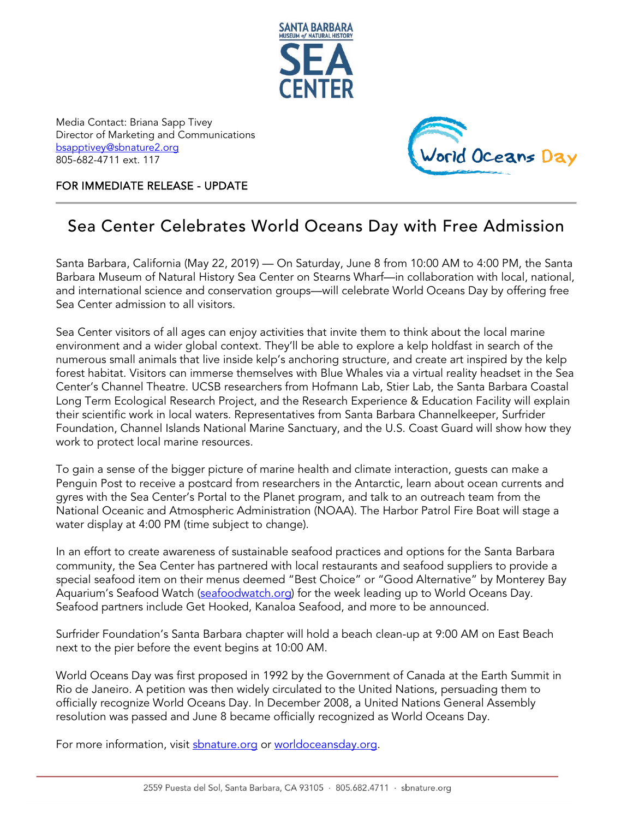

Media Contact: Briana Sapp Tivey Director of Marketing and Communications [bsapptivey@sbnature2.org](mailto:bsapptivey@sbnature2.org) 805-682-4711 ext. 117



FOR IMMEDIATE RELEASE - UPDATE

## Sea Center Celebrates World Oceans Day with Free Admission

Santa Barbara, California (May 22, 2019) — On Saturday, June 8 from 10:00 AM to 4:00 PM, the Santa Barbara Museum of Natural History Sea Center on Stearns Wharf—in collaboration with local, national, and international science and conservation groups—will celebrate World Oceans Day by offering free Sea Center admission to all visitors.

Sea Center visitors of all ages can enjoy activities that invite them to think about the local marine environment and a wider global context. They'll be able to explore a kelp holdfast in search of the numerous small animals that live inside kelp's anchoring structure, and create art inspired by the kelp forest habitat. Visitors can immerse themselves with Blue Whales via a virtual reality headset in the Sea Center's Channel Theatre. UCSB researchers from Hofmann Lab, Stier Lab, the Santa Barbara Coastal Long Term Ecological Research Project, and the Research Experience & Education Facility will explain their scientific work in local waters. Representatives from Santa Barbara Channelkeeper, Surfrider Foundation, Channel Islands National Marine Sanctuary, and the U.S. Coast Guard will show how they work to protect local marine resources.

To gain a sense of the bigger picture of marine health and climate interaction, guests can make a Penguin Post to receive a postcard from researchers in the Antarctic, learn about ocean currents and gyres with the Sea Center's Portal to the Planet program, and talk to an outreach team from the National Oceanic and Atmospheric Administration (NOAA). The Harbor Patrol Fire Boat will stage a water display at 4:00 PM (time subject to change).

In an effort to create awareness of sustainable seafood practices and options for the Santa Barbara community, the Sea Center has partnered with local restaurants and seafood suppliers to provide a special seafood item on their menus deemed "Best Choice" or "Good Alternative" by Monterey Bay Aquarium's Seafood Watch [\(seafoodwatch.org\)](https://www.seafoodwatch.org/) for the week leading up to World Oceans Day. Seafood partners include Get Hooked, Kanaloa Seafood, and more to be announced.

Surfrider Foundation's Santa Barbara chapter will hold a beach clean-up at 9:00 AM on East Beach next to the pier before the event begins at 10:00 AM.

World Oceans Day was first proposed in 1992 by the Government of Canada at the Earth Summit in Rio de Janeiro. A petition was then widely circulated to the United Nations, persuading them to officially recognize World Oceans Day. In December 2008, a United Nations General Assembly resolution was passed and June 8 became officially recognized as World Oceans Day.

For more information, visit <u>sbnature.org</u> or <u>worldoceansday.org</u>.